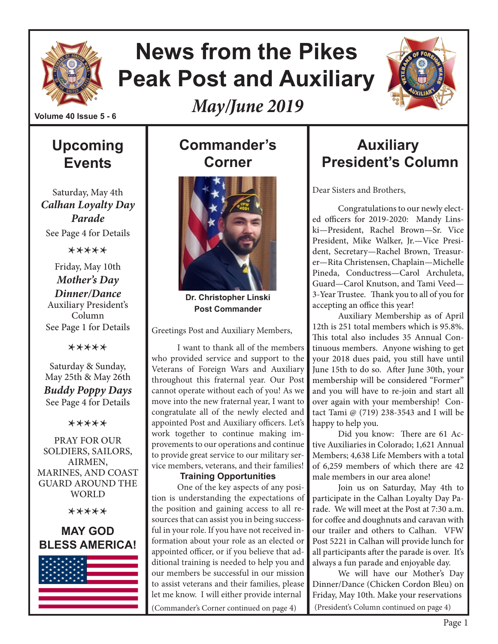

# **News from the Pikes Peak Post and Auxiliary**

*May/June 2019*



**Volume 40 Issue 5 - 6**

# **Upcoming Events**

Saturday, May 4th *Calhan Loyalty Day Parade* See Page 4 for Details

\*\*\*\*\*

Friday, May 10th *Mother's Day Dinner/Dance* Auxiliary President's Column See Page 1 for Details

\*\*\*\*\*

Saturday & Sunday, May 25th & May 26th

*Buddy Poppy Days*  See Page 4 for Details

#### \*\*\*\*\*

PRAY FOR OUR SOLDIERS, SAILORS, AIRMEN, MARINES, AND COAST GUARD AROUND THE WORLD

\*\*\*\*\*

#### **MAY GOD BLESS AMERICA!**



# **Commander's Corner**



**Dr. Christopher Linski Post Commander**

Greetings Post and Auxiliary Members,

I want to thank all of the members who provided service and support to the Veterans of Foreign Wars and Auxiliary throughout this fraternal year. Our Post cannot operate without each of you! As we move into the new fraternal year, I want to congratulate all of the newly elected and appointed Post and Auxiliary officers. Let's work together to continue making improvements to our operations and continue to provide great service to our military service members, veterans, and their families!

#### **Training Opportunities**

One of the key aspects of any position is understanding the expectations of the position and gaining access to all resources that can assist you in being successful in your role. If you have not received information about your role as an elected or appointed officer, or if you believe that additional training is needed to help you and our members be successful in our mission to assist veterans and their families, please let me know. I will either provide internal (Commander's Corner continued on page 4)

# **Auxiliary President's Column**

Dear Sisters and Brothers,

Congratulations to our newly elected officers for 2019-2020: Mandy Linski—President, Rachel Brown—Sr. Vice President, Mike Walker, Jr.—Vice President, Secretary—Rachel Brown, Treasurer—Rita Christensen, Chaplain—Michelle Pineda, Conductress—Carol Archuleta, Guard—Carol Knutson, and Tami Veed— 3-Year Trustee. Thank you to all of you for accepting an office this year!

Auxiliary Membership as of April 12th is 251 total members which is 95.8%. This total also includes 35 Annual Continuous members. Anyone wishing to get your 2018 dues paid, you still have until June 15th to do so. After June 30th, your membership will be considered "Former" and you will have to re-join and start all over again with your membership! Contact Tami @ (719) 238-3543 and I will be happy to help you.

Did you know: There are 61 Active Auxiliaries in Colorado; 1,621 Annual Members; 4,638 Life Members with a total of 6,259 members of which there are 42 male members in our area alone!

Join us on Saturday, May 4th to participate in the Calhan Loyalty Day Parade. We will meet at the Post at 7:30 a.m. for coffee and doughnuts and caravan with our trailer and others to Calhan. VFW Post 5221 in Calhan will provide lunch for all participants after the parade is over. It's always a fun parade and enjoyable day.

We will have our Mother's Day Dinner/Dance (Chicken Cordon Bleu) on Friday, May 10th. Make your reservations (President's Column continued on page 4)

#### Page 1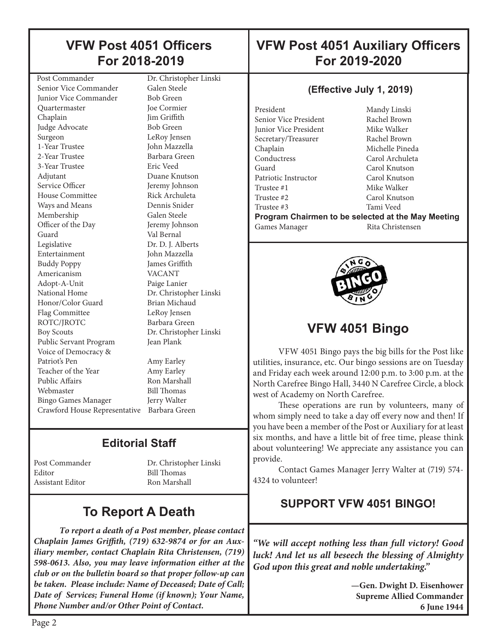### **VFW Post 4051 Officers For 2018-2019**

 Post Commander Dr. Christopher Linski Senior Vice Commander Galen Steele **Junior Vice Commander** Bob Green Quartermaster Joe Cormier Chaplain Jim Griffith Judge Advocate Bob Green Surgeon LeRoy Jensen 1-Year Trustee John Mazzella 2-Year Trustee Barbara Green 3-Year Trustee Eric Veed Adjutant Duane Knutson Service Officer **Jeremy Johnson** House Committee **Rick Archuleta** Ways and Means Dennis Snider Membership Galen Steele Officer of the Day Jeremy Johnson Guard Val Bernal Legislative Dr. D. J. Alberts Entertainment John Mazzella Buddy Poppy James Griffith Americanism VACANT Adopt-A-Unit Paige Lanier National Home Dr. Christopher Linski Honor/Color Guard Brian Michaud Flag Committee LeRoy Jensen ROTC/JROTC Barbara Green Boy Scouts Dr. Christopher Linski Public Servant Program Jean Plank Voice of Democracy & Patriot's Pen Amy Earley Teacher of the Year Amy Earley Public Affairs Ron Marshall Webmaster Bill Thomas Bingo Games Manager Jerry Walter Crawford House Representative Barbara Green

### **Editorial Staff**

Editor Bill Thomas Assistant Editor **Ron Marshall** 

Post Commander Dr. Christopher Linski

# **To Report A Death**

*To report a death of a Post member, please contact Chaplain James Griffith, (719) 632-9874 or for an Auxiliary member, contact Chaplain Rita Christensen, (719) 598-0613. Also, you may leave information either at the club or on the bulletin board so that proper follow-up can be taken. Please include: Name of Deceased; Date of Call; Date of Services; Funeral Home (if known); Your Name, Phone Number and/or Other Point of Contact.*

### **VFW Post 4051 Auxiliary Officers For 2019-2020**

#### **(Effective July 1, 2019)**

President Mandy Linski Senior Vice President Rachel Brown Junior Vice President Mike Walker<br>
Secretary/Treasurer Rachel Brown Secretary/Treasurer Chaplain Michelle Pineda Conductress Carol Archuleta Guard Carol Knutson Patriotic Instructor Carol Knutson Trustee #1 Mike Walker Trustee #2 Carol Knutson Trustee #3 Tami Veed **Program Chairmen to be selected at the May Meeting**  Games Manager Rita Christensen

┠

I

I



# **VFW 4051 Bingo**

VFW 4051 Bingo pays the big bills for the Post like utilities, insurance, etc. Our bingo sessions are on Tuesday and Friday each week around 12:00 p.m. to 3:00 p.m. at the North Carefree Bingo Hall, 3440 N Carefree Circle, a block west of Academy on North Carefree.

These operations are run by volunteers, many of whom simply need to take a day off every now and then! If you have been a member of the Post or Auxiliary for at least six months, and have a little bit of free time, please think about volunteering! We appreciate any assistance you can provide.

Contact Games Manager Jerry Walter at (719) 574- 4324 to volunteer!

### **SUPPORT VFW 4051 BINGO!**

*"We will accept nothing less than full victory! Good luck! And let us all beseech the blessing of Almighty God upon this great and noble undertaking."* 

> **—Gen. Dwight D. Eisenhower Supreme Allied Commander 6 June 1944**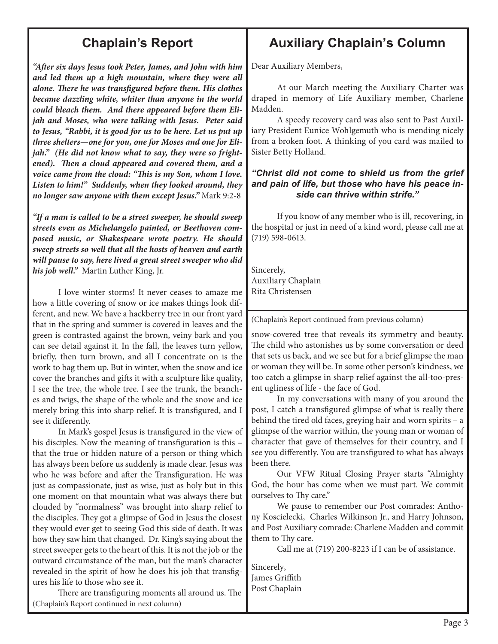### **Chaplain's Report**

*"After six days Jesus took Peter, James, and John with him and led them up a high mountain, where they were all alone. There he was transfigured before them. His clothes became dazzling white, whiter than anyone in the world could bleach them. And there appeared before them Elijah and Moses, who were talking with Jesus. Peter said to Jesus, "Rabbi, it is good for us to be here. Let us put up three shelters—one for you, one for Moses and one for Elijah." (He did not know what to say, they were so frightened). Then a cloud appeared and covered them, and a voice came from the cloud: "This is my Son, whom I love. Listen to him!" Suddenly, when they looked around, they no longer saw anyone with them except Jesus."* Mark 9:2-8

*"If a man is called to be a street sweeper, he should sweep streets even as Michelangelo painted, or Beethoven composed music, or Shakespeare wrote poetry. He should sweep streets so well that all the hosts of heaven and earth will pause to say, here lived a great street sweeper who did his job well."* Martin Luther King, Jr.

I love winter storms! It never ceases to amaze me how a little covering of snow or ice makes things look different, and new. We have a hackberry tree in our front yard that in the spring and summer is covered in leaves and the green is contrasted against the brown, veiny bark and you can see detail against it. In the fall, the leaves turn yellow, briefly, then turn brown, and all I concentrate on is the work to bag them up. But in winter, when the snow and ice cover the branches and gifts it with a sculpture like quality, I see the tree, the whole tree. I see the trunk, the branches and twigs, the shape of the whole and the snow and ice merely bring this into sharp relief. It is transfigured, and I see it differently.

In Mark's gospel Jesus is transfigured in the view of his disciples. Now the meaning of transfiguration is this – that the true or hidden nature of a person or thing which has always been before us suddenly is made clear. Jesus was who he was before and after the Transfiguration. He was just as compassionate, just as wise, just as holy but in this one moment on that mountain what was always there but clouded by "normalness" was brought into sharp relief to the disciples. They got a glimpse of God in Jesus the closest they would ever get to seeing God this side of death. It was how they saw him that changed. Dr. King's saying about the street sweeper gets to the heart of this. It is not the job or the outward circumstance of the man, but the man's character revealed in the spirit of how he does his job that transfigures his life to those who see it.

There are transfiguring moments all around us. The (Chaplain's Report continued in next column)

## **Auxiliary Chaplain's Column**

Dear Auxiliary Members,

At our March meeting the Auxiliary Charter was draped in memory of Life Auxiliary member, Charlene Madden.

A speedy recovery card was also sent to Past Auxiliary President Eunice Wohlgemuth who is mending nicely from a broken foot. A thinking of you card was mailed to Sister Betty Holland.

#### *"Christ did not come to shield us from the grief and pain of life, but those who have his peace inside can thrive within strife."*

If you know of any member who is ill, recovering, in the hospital or just in need of a kind word, please call me at (719) 598-0613.

Sincerely, Auxiliary Chaplain Rita Christensen

(Chaplain's Report continued from previous column)

snow-covered tree that reveals its symmetry and beauty. The child who astonishes us by some conversation or deed that sets us back, and we see but for a brief glimpse the man or woman they will be. In some other person's kindness, we too catch a glimpse in sharp relief against the all-too-present ugliness of life - the face of God.

In my conversations with many of you around the post, I catch a transfigured glimpse of what is really there behind the tired old faces, greying hair and worn spirits – a glimpse of the warrior within, the young man or woman of character that gave of themselves for their country, and I see you differently. You are transfigured to what has always been there.

Our VFW Ritual Closing Prayer starts "Almighty God, the hour has come when we must part. We commit ourselves to Thy care."

We pause to remember our Post comrades: Anthony Koscielecki, Charles Wilkinson Jr., and Harry Johnson, and Post Auxiliary comrade: Charlene Madden and commit them to Thy care.

Call me at (719) 200-8223 if I can be of assistance.

Sincerely, James Griffith Post Chaplain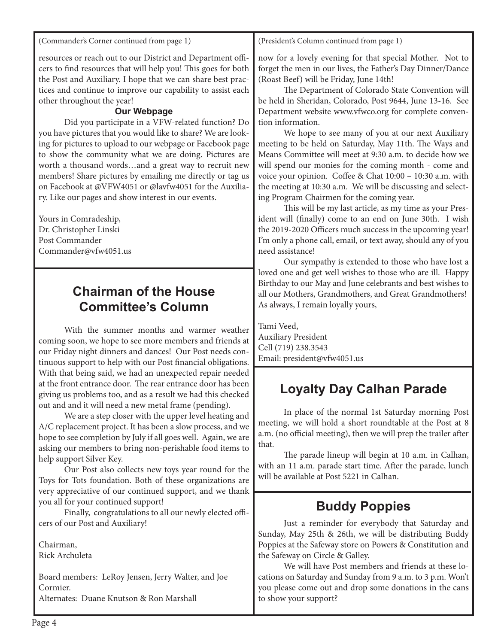(Commander's Corner continued from page 1)

(President's Column continued from page 1)

resources or reach out to our District and Department officers to find resources that will help you! This goes for both the Post and Auxiliary. I hope that we can share best practices and continue to improve our capability to assist each other throughout the year!

#### **Our Webpage**

Did you participate in a VFW-related function? Do you have pictures that you would like to share? We are looking for pictures to upload to our webpage or Facebook page to show the community what we are doing. Pictures are worth a thousand words…and a great way to recruit new members! Share pictures by emailing me directly or tag us on Facebook at @VFW4051 or @lavfw4051 for the Auxiliary. Like our pages and show interest in our events.

Yours in Comradeship, Dr. Christopher Linski Post Commander Commander@vfw4051.us

## **Chairman of the House Committee's Column**

With the summer months and warmer weather coming soon, we hope to see more members and friends at our Friday night dinners and dances! Our Post needs continuous support to help with our Post financial obligations. With that being said, we had an unexpected repair needed at the front entrance door. The rear entrance door has been giving us problems too, and as a result we had this checked out and and it will need a new metal frame (pending).

We are a step closer with the upper level heating and A/C replacement project. It has been a slow process, and we hope to see completion by July if all goes well. Again, we are asking our members to bring non-perishable food items to help support Silver Key.

Our Post also collects new toys year round for the Toys for Tots foundation. Both of these organizations are very appreciative of our continued support, and we thank you all for your continued support!

Finally, congratulations to all our newly elected officers of our Post and Auxiliary!

Chairman, Rick Archuleta

Board members: LeRoy Jensen, Jerry Walter, and Joe Cormier. Alternates: Duane Knutson & Ron Marshall

now for a lovely evening for that special Mother. Not to forget the men in our lives, the Father's Day Dinner/Dance (Roast Beef) will be Friday, June 14th!

The Department of Colorado State Convention will be held in Sheridan, Colorado, Post 9644, June 13-16. See Department website www.vfwco.org for complete convention information.

We hope to see many of you at our next Auxiliary meeting to be held on Saturday, May 11th. The Ways and Means Committee will meet at 9:30 a.m. to decide how we will spend our monies for the coming month - come and voice your opinion. Coffee & Chat 10:00 – 10:30 a.m. with the meeting at 10:30 a.m. We will be discussing and selecting Program Chairmen for the coming year.

This will be my last article, as my time as your President will (finally) come to an end on June 30th. I wish the 2019-2020 Officers much success in the upcoming year! I'm only a phone call, email, or text away, should any of you need assistance!

Our sympathy is extended to those who have lost a loved one and get well wishes to those who are ill. Happy Birthday to our May and June celebrants and best wishes to all our Mothers, Grandmothers, and Great Grandmothers! As always, I remain loyally yours,

Tami Veed, Auxiliary President Cell (719) 238.3543 Email: president@vfw4051.us

# **Loyalty Day Calhan Parade**

In place of the normal 1st Saturday morning Post meeting, we will hold a short roundtable at the Post at 8 a.m. (no official meeting), then we will prep the trailer after that.

The parade lineup will begin at 10 a.m. in Calhan, with an 11 a.m. parade start time. After the parade, lunch will be available at Post 5221 in Calhan.

# **Buddy Poppies**

Just a reminder for everybody that Saturday and Sunday, May 25th & 26th, we will be distributing Buddy Poppies at the Safeway store on Powers & Constitution and the Safeway on Circle & Galley.

We will have Post members and friends at these locations on Saturday and Sunday from 9 a.m. to 3 p.m. Won't you please come out and drop some donations in the cans to show your support?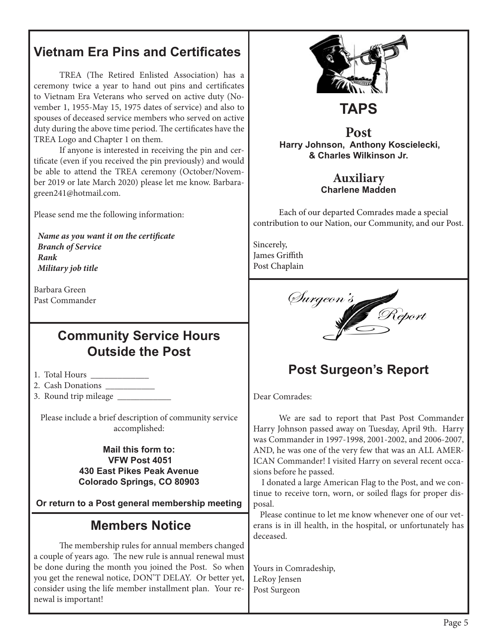### **Vietnam Era Pins and Certificates**

TREA (The Retired Enlisted Association) has a ceremony twice a year to hand out pins and certificates to Vietnam Era Veterans who served on active duty (November 1, 1955-May 15, 1975 dates of service) and also to spouses of deceased service members who served on active duty during the above time period. The certificates have the TREA Logo and Chapter 1 on them.

If anyone is interested in receiving the pin and certificate (even if you received the pin previously) and would be able to attend the TREA ceremony (October/November 2019 or late March 2020) please let me know. Barbaragreen241@hotmail.com.

Please send me the following information:

 *Name as you want it on the certificate Branch of Service Rank Military job title*

Barbara Green Past Commander

### **Community Service Hours Outside the Post**

- 1. Total Hours \_\_\_\_\_\_\_\_\_\_\_\_\_
- 2. Cash Donations \_\_\_\_\_\_\_\_\_\_\_
- 3. Round trip mileage \_\_\_\_\_\_\_\_\_\_\_\_

Please include a brief description of community service accomplished:

#### **Mail this form to: VFW Post 4051 430 East Pikes Peak Avenue Colorado Springs, CO 80903**

**Or return to a Post general membership meeting**

### **Members Notice**

The membership rules for annual members changed a couple of years ago. The new rule is annual renewal must be done during the month you joined the Post. So when you get the renewal notice, DON'T DELAY. Or better yet, consider using the life member installment plan. Your renewal is important!



# **TAPS**

**Post Harry Johnson, Anthony Koscielecki, & Charles Wilkinson Jr.**

#### **Auxiliary Charlene Madden**

Each of our departed Comrades made a special contribution to our Nation, our Community, and our Post.

Sincerely, James Griffith Post Chaplain



## **Post Surgeon's Report**

Dear Comrades:

We are sad to report that Past Post Commander Harry Johnson passed away on Tuesday, April 9th. Harry was Commander in 1997-1998, 2001-2002, and 2006-2007, AND, he was one of the very few that was an ALL AMER-ICAN Commander! I visited Harry on several recent occasions before he passed.

 I donated a large American Flag to the Post, and we continue to receive torn, worn, or soiled flags for proper disposal.

 Please continue to let me know whenever one of our veterans is in ill health, in the hospital, or unfortunately has deceased.

Yours in Comradeship, LeRoy Jensen Post Surgeon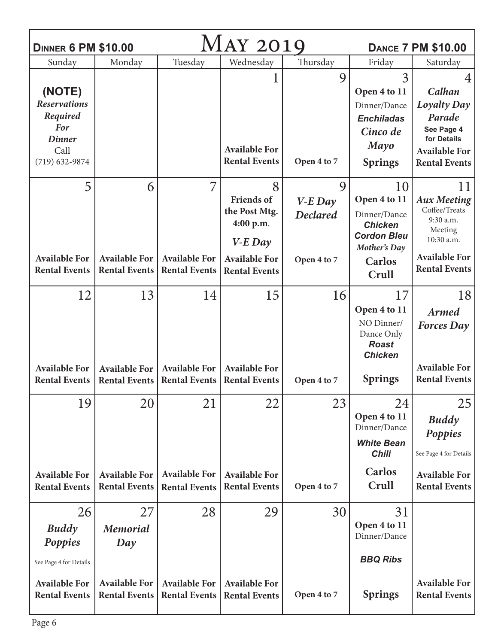| <b>DINNER 6 PM \$10.00</b>                   |                                              | MAY 2019                                     | <b>DANCE 7 PM \$10.00</b>                    |                 |                                                                            |                                                             |
|----------------------------------------------|----------------------------------------------|----------------------------------------------|----------------------------------------------|-----------------|----------------------------------------------------------------------------|-------------------------------------------------------------|
| Sunday                                       | Monday                                       | Tuesday                                      | Wednesday                                    | Thursday        | Friday                                                                     | Saturday                                                    |
| (NOTE)<br><b>Reservations</b>                |                                              |                                              |                                              | 9               | 3<br>Open 4 to 11<br>Dinner/Dance                                          | 4<br>Calhan<br><b>Loyalty Day</b>                           |
| Required<br><b>For</b>                       |                                              |                                              |                                              |                 | <b>Enchiladas</b><br>Cinco de                                              | Parade<br>See Page 4                                        |
| <b>Dinner</b><br>Call<br>$(719) 632 - 9874$  |                                              |                                              | <b>Available For</b><br><b>Rental Events</b> | Open 4 to 7     | Mayo<br><b>Springs</b>                                                     | for Details<br><b>Available For</b><br><b>Rental Events</b> |
|                                              |                                              |                                              |                                              |                 |                                                                            |                                                             |
| 5                                            | 6                                            | 7                                            | 8<br><b>Friends of</b>                       | 9<br>$V-E$ Day  | 10<br>Open 4 to 11                                                         | 11<br><b>Aux Meeting</b>                                    |
|                                              |                                              |                                              | the Post Mtg.<br>4:00 p.m.                   | <b>Declared</b> | Dinner/Dance<br><b>Chicken</b>                                             | Coffee/Treats<br>9:30 a.m.<br>Meeting                       |
|                                              |                                              |                                              | $V-E$ Day                                    |                 | <b>Cordon Bleu</b><br><b>Mother's Day</b>                                  | 10:30 a.m.                                                  |
| <b>Available For</b><br><b>Rental Events</b> | <b>Available For</b><br><b>Rental Events</b> | <b>Available For</b><br><b>Rental Events</b> | <b>Available For</b><br><b>Rental Events</b> | Open 4 to 7     | <b>Carlos</b><br>Crull                                                     | <b>Available For</b><br><b>Rental Events</b>                |
| 12                                           | 13                                           | 14                                           | 15                                           | 16              | 17                                                                         | 18                                                          |
|                                              |                                              |                                              |                                              |                 | Open 4 to 11<br>NO Dinner/<br>Dance Only<br><b>Roast</b><br><b>Chicken</b> | <b>Armed</b><br><b>Forces</b> Day                           |
| <b>Available For</b><br><b>Rental Events</b> | <b>Available For</b><br><b>Rental Events</b> | <b>Available For</b><br><b>Rental Events</b> | <b>Available For</b><br><b>Rental Events</b> | Open 4 to 7     | <b>Springs</b>                                                             | <b>Available For</b><br><b>Rental Events</b>                |
| 19                                           | 20                                           | 21                                           | 22                                           | 23              | 24<br>Open 4 to 11<br>Dinner/Dance<br><b>White Bean</b><br><b>Chili</b>    | 25<br><b>Buddy</b><br>Poppies<br>See Page 4 for Details     |
| <b>Available For</b><br><b>Rental Events</b> | <b>Available For</b><br><b>Rental Events</b> | <b>Available For</b><br><b>Rental Events</b> | <b>Available For</b><br><b>Rental Events</b> | Open 4 to 7     | <b>Carlos</b><br>Crull                                                     | <b>Available For</b><br><b>Rental Events</b>                |
| 26<br><b>Buddy</b><br>Poppies                | 27<br><b>Memorial</b><br>Day                 | 28                                           | 29                                           | 30              | 31<br>Open 4 to 11<br>Dinner/Dance                                         |                                                             |
| See Page 4 for Details                       |                                              |                                              |                                              |                 | <b>BBQ Ribs</b>                                                            |                                                             |
| <b>Available For</b><br><b>Rental Events</b> | <b>Available For</b><br><b>Rental Events</b> | <b>Available For</b><br><b>Rental Events</b> | <b>Available For</b><br><b>Rental Events</b> | Open 4 to 7     | <b>Springs</b>                                                             | <b>Available For</b><br><b>Rental Events</b>                |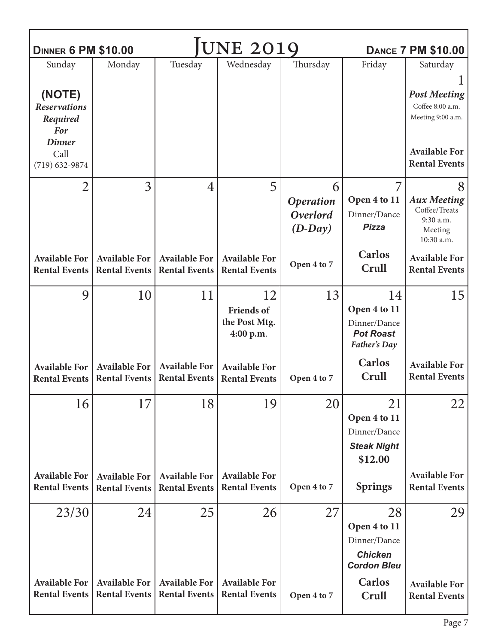| <b>DINNER 6 PM \$10.00</b>                                               |                                              |                                              | <b>DANCE 7 PM \$10.00</b>                             |                                                 |                                                                            |                                                                                |
|--------------------------------------------------------------------------|----------------------------------------------|----------------------------------------------|-------------------------------------------------------|-------------------------------------------------|----------------------------------------------------------------------------|--------------------------------------------------------------------------------|
| Sunday                                                                   | Monday                                       | Tuesday                                      | Wednesday                                             | Thursday                                        | Friday                                                                     | Saturday                                                                       |
| (NOTE)<br><b>Reservations</b><br>Required<br><b>For</b><br><b>Dinner</b> |                                              |                                              |                                                       |                                                 |                                                                            | <b>Post Meeting</b><br>Coffee 8:00 a.m.<br>Meeting 9:00 a.m.                   |
| Call<br>$(719)$ 632-9874                                                 |                                              |                                              |                                                       |                                                 |                                                                            | <b>Available For</b><br><b>Rental Events</b>                                   |
| $\overline{2}$                                                           | 3                                            | $\overline{4}$                               | 5                                                     | 6<br><b>Operation</b><br>Overlord<br>$(D$ -Day) | 7<br>Open 4 to 11<br>Dinner/Dance<br><b>Pizza</b>                          | 8<br><b>Aux Meeting</b><br>Coffee/Treats<br>9:30 a.m.<br>Meeting<br>10:30 a.m. |
| <b>Available For</b><br><b>Rental Events</b>                             | <b>Available For</b><br><b>Rental Events</b> | <b>Available For</b><br><b>Rental Events</b> | <b>Available For</b><br><b>Rental Events</b>          | Open 4 to 7                                     | <b>Carlos</b><br>Crull                                                     | <b>Available For</b><br><b>Rental Events</b>                                   |
| 9                                                                        | 10                                           | 11                                           | 12<br><b>Friends of</b><br>the Post Mtg.<br>4:00 p.m. | 13                                              | 14<br>Open 4 to 11<br>Dinner/Dance<br><b>Pot Roast</b><br>Father's Day     | 15                                                                             |
| <b>Available For</b><br><b>Rental Events</b>                             | <b>Available For</b><br><b>Rental Events</b> | <b>Available For</b><br><b>Rental Events</b> | <b>Available For</b><br><b>Rental Events</b>          | Open 4 to 7                                     | <b>Carlos</b><br>Crull                                                     | <b>Available For</b><br><b>Rental Events</b>                                   |
| 16                                                                       | 17                                           | 18                                           | 19                                                    | 20                                              | 21<br>Open 4 to 11<br>Dinner/Dance<br><b>Steak Night</b><br>\$12.00        | 22                                                                             |
| <b>Available For</b><br><b>Rental Events</b>                             | <b>Available For</b><br><b>Rental Events</b> | <b>Available For</b><br><b>Rental Events</b> | <b>Available For</b><br><b>Rental Events</b>          | Open 4 to 7                                     | <b>Springs</b>                                                             | <b>Available For</b><br><b>Rental Events</b>                                   |
| 23/30                                                                    | 24                                           | 25                                           | 26                                                    | 27                                              | 28<br>Open 4 to 11<br>Dinner/Dance<br><b>Chicken</b><br><b>Cordon Bleu</b> | 29                                                                             |
| <b>Available For</b><br><b>Rental Events</b>                             | <b>Available For</b><br><b>Rental Events</b> | <b>Available For</b><br><b>Rental Events</b> | <b>Available For</b><br><b>Rental Events</b>          | Open 4 to 7                                     | <b>Carlos</b><br>Crull                                                     | <b>Available For</b><br><b>Rental Events</b>                                   |